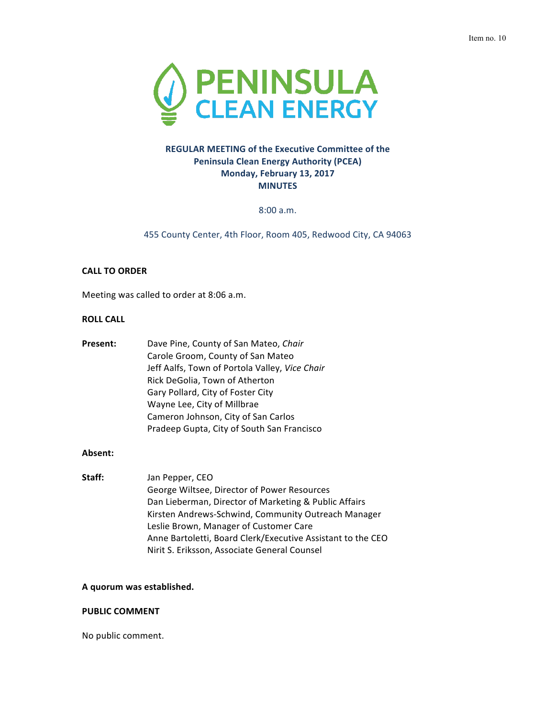

# **REGULAR MEETING of the Executive Committee of the Peninsula Clean Energy Authority (PCEA) Monday, February 13, 2017 MINUTES**

8:00 a.m.

455 County Center, 4th Floor, Room 405, Redwood City, CA 94063

# **CALL TO ORDER**

Meeting was called to order at 8:06 a.m.

# **ROLL CALL**

| Present: | Dave Pine, County of San Mateo, Chair          |
|----------|------------------------------------------------|
|          | Carole Groom, County of San Mateo              |
|          | Jeff Aalfs, Town of Portola Valley, Vice Chair |
|          | Rick DeGolia, Town of Atherton                 |
|          | Gary Pollard, City of Foster City              |
|          | Wayne Lee, City of Millbrae                    |
|          | Cameron Johnson, City of San Carlos            |
|          | Pradeep Gupta, City of South San Francisco     |

### **Absent:**

Staff: Jan Pepper, CEO George Wiltsee, Director of Power Resources Dan Lieberman, Director of Marketing & Public Affairs Kirsten Andrews-Schwind, Community Outreach Manager Leslie Brown, Manager of Customer Care Anne Bartoletti, Board Clerk/Executive Assistant to the CEO Nirit S. Eriksson, Associate General Counsel

### **A quorum was established.**

### **PUBLIC COMMENT**

No public comment.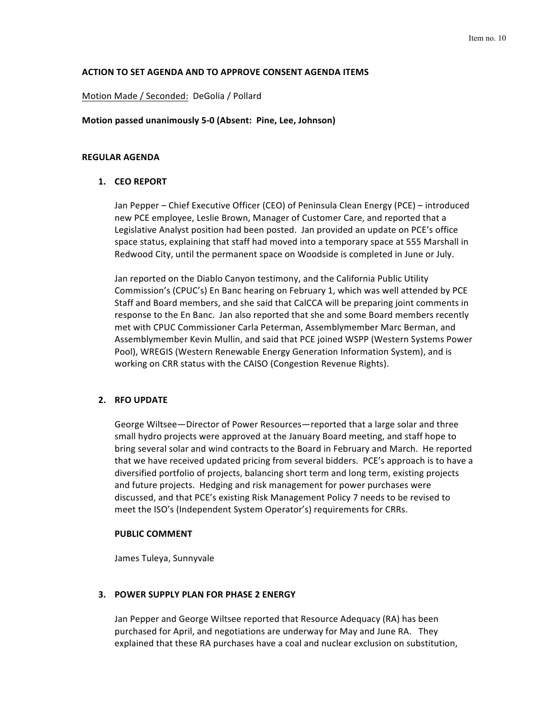### **ACTION TO SET AGENDA AND TO APPROVE CONSENT AGENDA ITEMS**

#### Motion Made / Seconded: DeGolia / Pollard

#### **Motion passed unanimously 5-0 (Absent: Pine, Lee, Johnson)**

#### **REGULAR AGENDA**

### **1. CEO REPORT**

Jan Pepper – Chief Executive Officer (CEO) of Peninsula Clean Energy (PCE) – introduced new PCE employee, Leslie Brown, Manager of Customer Care, and reported that a Legislative Analyst position had been posted. Jan provided an update on PCE's office space status, explaining that staff had moved into a temporary space at 555 Marshall in Redwood City, until the permanent space on Woodside is completed in June or July.

Jan reported on the Diablo Canyon testimony, and the California Public Utility Commission's (CPUC's) En Banc hearing on February 1, which was well attended by PCE Staff and Board members, and she said that CalCCA will be preparing joint comments in response to the En Banc. Jan also reported that she and some Board members recently met with CPUC Commissioner Carla Peterman, Assemblymember Marc Berman, and Assemblymember Kevin Mullin, and said that PCE joined WSPP (Western Systems Power Pool), WREGIS (Western Renewable Energy Generation Information System), and is working on CRR status with the CAISO (Congestion Revenue Rights).

#### **2. RFO UPDATE**

George Wiltsee—Director of Power Resources—reported that a large solar and three small hydro projects were approved at the January Board meeting, and staff hope to bring several solar and wind contracts to the Board in February and March. He reported that we have received updated pricing from several bidders. PCE's approach is to have a diversified portfolio of projects, balancing short term and long term, existing projects and future projects. Hedging and risk management for power purchases were discussed, and that PCE's existing Risk Management Policy 7 needs to be revised to meet the ISO's (Independent System Operator's) requirements for CRRs.

### **PUBLIC COMMENT**

James Tuleya, Sunnyvale

### **3. POWER SUPPLY PLAN FOR PHASE 2 ENERGY**

Jan Pepper and George Wiltsee reported that Resource Adequacy (RA) has been purchased for April, and negotiations are underway for May and June RA. They explained that these RA purchases have a coal and nuclear exclusion on substitution,